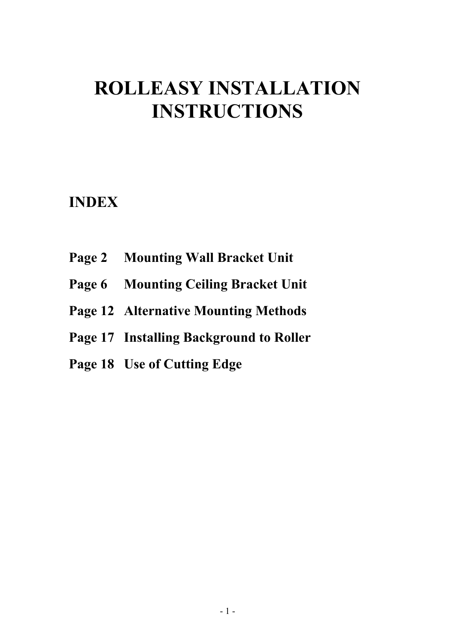# **ROLLEASY INSTALLATION INSTRUCTIONS**

# **INDEX**

- **Page 2 Mounting Wall Bracket Unit**
- **Page 6 Mounting Ceiling Bracket Unit**
- **Page 12 Alternative Mounting Methods**
- **Page 17 Installing Background to Roller**
- **Page 18 Use of Cutting Edge**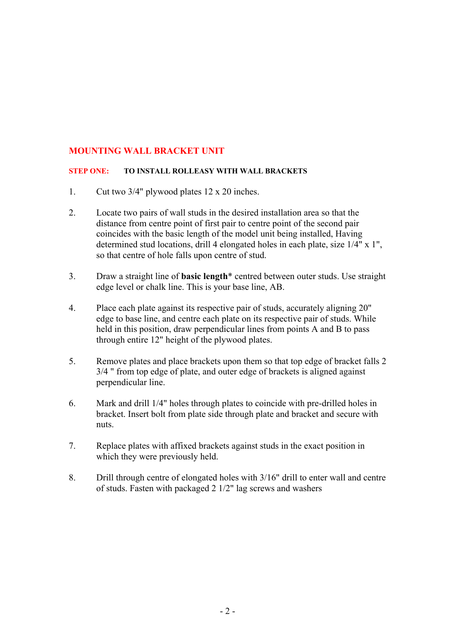# **MOUNTING WALL BRACKET UNIT**

#### **STEP ONE: TO INSTALL ROLLEASY WITH WALL BRACKETS**

- 1. Cut two 3/4" plywood plates 12 x 20 inches.
- 2. Locate two pairs of wall studs in the desired installation area so that the distance from centre point of first pair to centre point of the second pair coincides with the basic length of the model unit being installed, Having determined stud locations, drill 4 elongated holes in each plate, size 1/4" x 1", so that centre of hole falls upon centre of stud.
- 3. Draw a straight line of **basic length**\* centred between outer studs. Use straight edge level or chalk line. This is your base line, AB.
- 4. Place each plate against its respective pair of studs, accurately aligning 20" edge to base line, and centre each plate on its respective pair of studs. While held in this position, draw perpendicular lines from points A and B to pass through entire 12" height of the plywood plates.
- 5. Remove plates and place brackets upon them so that top edge of bracket falls 2 3/4 " from top edge of plate, and outer edge of brackets is aligned against perpendicular line.
- 6. Mark and drill 1/4" holes through plates to coincide with pre-drilled holes in bracket. Insert bolt from plate side through plate and bracket and secure with nuts.
- 7. Replace plates with affixed brackets against studs in the exact position in which they were previously held.
- 8. Drill through centre of elongated holes with 3/16" drill to enter wall and centre of studs. Fasten with packaged 2 1/2" lag screws and washers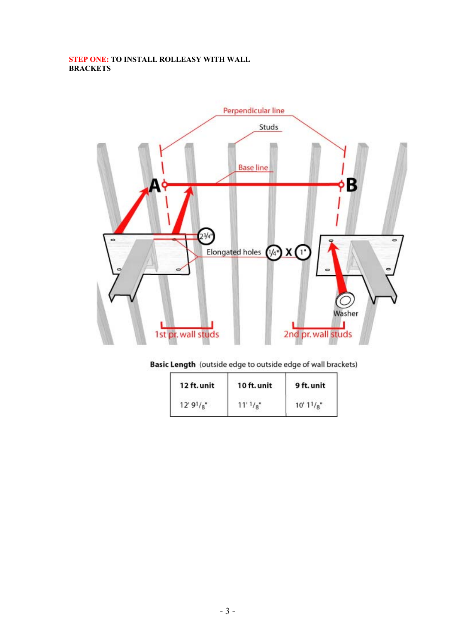## **STEP ONE: TO INSTALL ROLLEASY WITH WALL BRACKETS**



# Basic Length (outside edge to outside edge of wall brackets)

| 12 ft. unit | 10 ft. unit                         | 9 ft. unit |
|-------------|-------------------------------------|------------|
| $12'9'_{8}$ | $11'$ <sup>1</sup> / <sub>8</sub> " | 10' 11/g'' |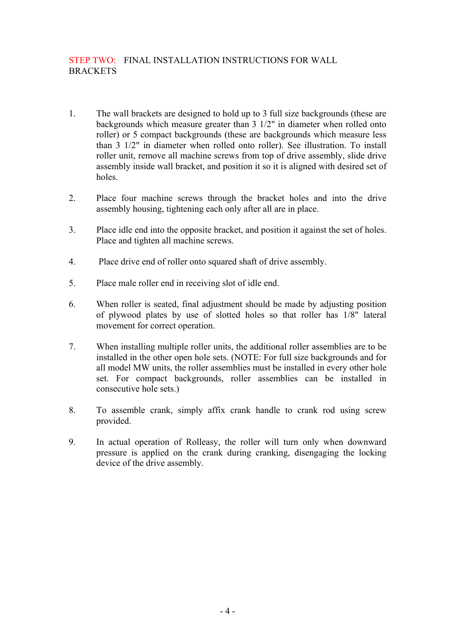# STEP TWO: FINAL INSTALLATION INSTRUCTIONS FOR WALL **BRACKETS**

- 1. The wall brackets are designed to hold up to 3 full size backgrounds (these are backgrounds which measure greater than 3 1/2" in diameter when rolled onto roller) or 5 compact backgrounds (these are backgrounds which measure less than 3 1/2" in diameter when rolled onto roller). See illustration. To install roller unit, remove all machine screws from top of drive assembly, slide drive assembly inside wall bracket, and position it so it is aligned with desired set of holes.
- 2. Place four machine screws through the bracket holes and into the drive assembly housing, tightening each only after all are in place.
- 3. Place idle end into the opposite bracket, and position it against the set of holes. Place and tighten all machine screws.
- 4. Place drive end of roller onto squared shaft of drive assembly.
- 5. Place male roller end in receiving slot of idle end.
- 6. When roller is seated, final adjustment should be made by adjusting position of plywood plates by use of slotted holes so that roller has 1/8" lateral movement for correct operation.
- 7. When installing multiple roller units, the additional roller assemblies are to be installed in the other open hole sets. (NOTE: For full size backgrounds and for all model MW units, the roller assemblies must be installed in every other hole set. For compact backgrounds, roller assemblies can be installed in consecutive hole sets.)
- 8. To assemble crank, simply affix crank handle to crank rod using screw provided.
- 9. In actual operation of Rolleasy, the roller will turn only when downward pressure is applied on the crank during cranking, disengaging the locking device of the drive assembly.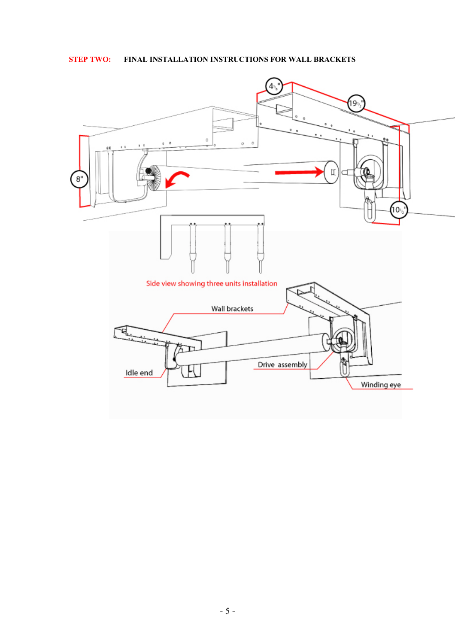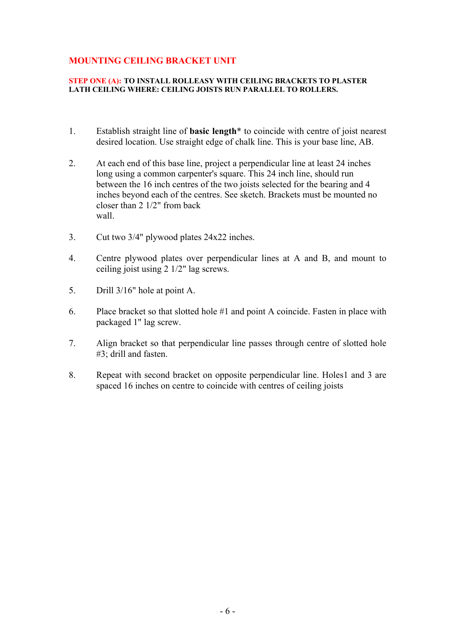# **MOUNTING CEILING BRACKET UNIT**

#### **STEP ONE (A): TO INSTALL ROLLEASY WITH CEILING BRACKETS TO PLASTER LATH CEILING WHERE: CEILING JOISTS RUN PARALLEL TO ROLLERS.**

- 1. Establish straight line of **basic length**\* to coincide with centre of joist nearest desired location. Use straight edge of chalk line. This is your base line, AB.
- 2. At each end of this base line, project a perpendicular line at least 24 inches long using a common carpenter's square. This 24 inch line, should run between the 16 inch centres of the two joists selected for the bearing and 4 inches beyond each of the centres. See sketch. Brackets must be mounted no closer than 2 1/2" from back wall.
- 3. Cut two 3/4" plywood plates 24x22 inches.
- 4. Centre plywood plates over perpendicular lines at A and B, and mount to ceiling joist using 2 1/2" lag screws.
- 5. Drill 3/16" hole at point A.
- 6. Place bracket so that slotted hole #1 and point A coincide. Fasten in place with packaged 1" lag screw.
- 7. Align bracket so that perpendicular line passes through centre of slotted hole #3; drill and fasten.
- 8. Repeat with second bracket on opposite perpendicular line. Holes1 and 3 are spaced 16 inches on centre to coincide with centres of ceiling joists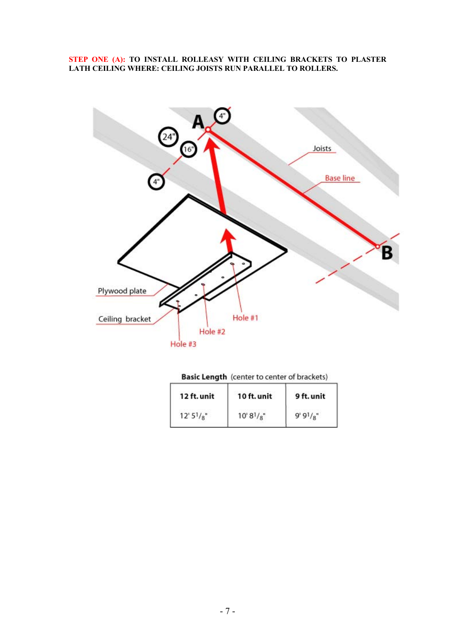#### **STEP ONE (A): TO INSTALL ROLLEASY WITH CEILING BRACKETS TO PLASTER LATH CEILING WHERE: CEILING JOISTS RUN PARALLEL TO ROLLERS.**



|  | <b>Basic Length</b> (center to center of brackets) |
|--|----------------------------------------------------|
|--|----------------------------------------------------|

| 12 ft. unit | 10 ft. unit   | 9 ft. unit |
|-------------|---------------|------------|
| 12'5' / g'' | $10'8^{1}/8"$ | $9'9'_{8"$ |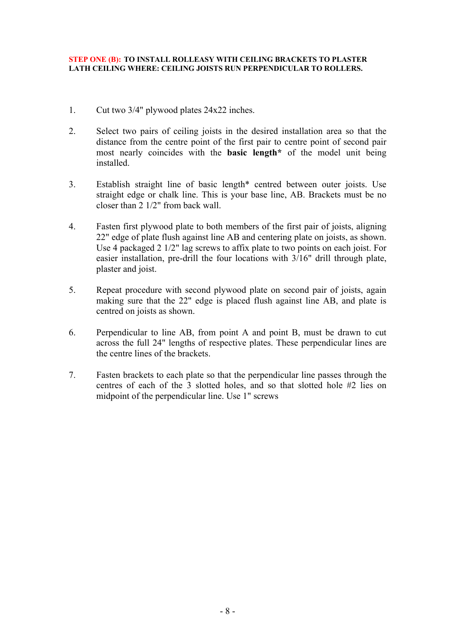#### **STEP ONE (B): TO INSTALL ROLLEASY WITH CEILING BRACKETS TO PLASTER LATH CEILING WHERE: CEILING JOISTS RUN PERPENDICULAR TO ROLLERS.**

- 1. Cut two 3/4" plywood plates 24x22 inches.
- 2. Select two pairs of ceiling joists in the desired installation area so that the distance from the centre point of the first pair to centre point of second pair most nearly coincides with the **basic length\*** of the model unit being installed.
- 3. Establish straight line of basic length\* centred between outer joists. Use straight edge or chalk line. This is your base line, AB. Brackets must be no closer than 2 1/2" from back wall.
- 4. Fasten first plywood plate to both members of the first pair of joists, aligning 22" edge of plate flush against line AB and centering plate on joists, as shown. Use 4 packaged 2 1/2" lag screws to affix plate to two points on each joist. For easier installation, pre-drill the four locations with 3/16" drill through plate, plaster and joist.
- 5. Repeat procedure with second plywood plate on second pair of joists, again making sure that the 22" edge is placed flush against line AB, and plate is centred on joists as shown.
- 6. Perpendicular to line AB, from point A and point B, must be drawn to cut across the full 24" lengths of respective plates. These perpendicular lines are the centre lines of the brackets.
- 7. Fasten brackets to each plate so that the perpendicular line passes through the centres of each of the 3 slotted holes, and so that slotted hole #2 lies on midpoint of the perpendicular line. Use 1" screws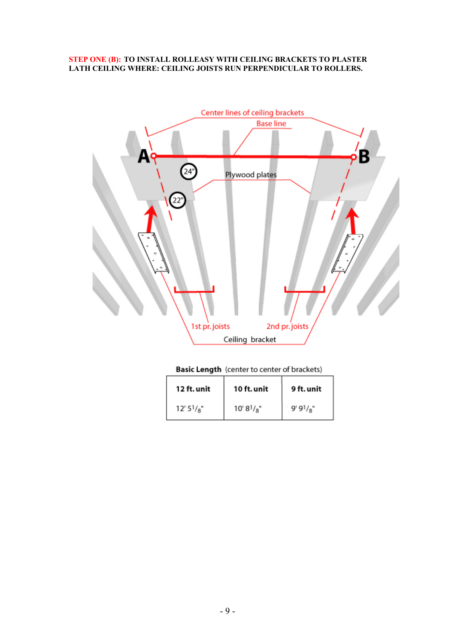#### **STEP ONE (B): TO INSTALL ROLLEASY WITH CEILING BRACKETS TO PLASTER LATH CEILING WHERE: CEILING JOISTS RUN PERPENDICULAR TO ROLLERS.**



#### Basic Length (center to center of brackets)

| 12 ft. unit    | 10 ft. unit     | 9 ft. unit   |
|----------------|-----------------|--------------|
| $12' 5^{1}/8"$ | $10' 8^{1}/8$ " | $9'9^{1}/8"$ |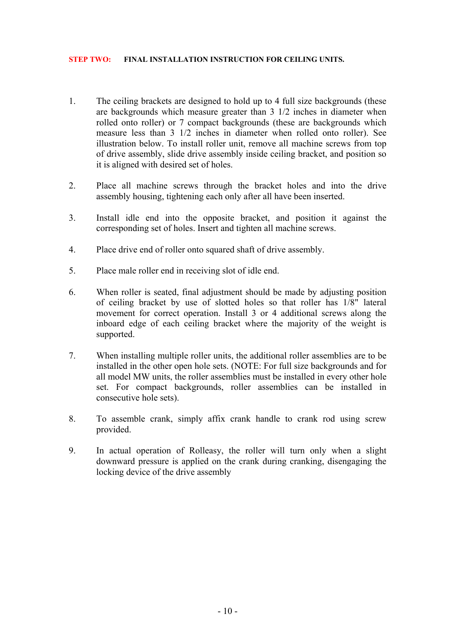#### **STEP TWO: FINAL INSTALLATION INSTRUCTION FOR CEILING UNITS.**

- 1. The ceiling brackets are designed to hold up to 4 full size backgrounds (these are backgrounds which measure greater than 3 1/2 inches in diameter when rolled onto roller) or 7 compact backgrounds (these are backgrounds which measure less than 3 1/2 inches in diameter when rolled onto roller). See illustration below. To install roller unit, remove all machine screws from top of drive assembly, slide drive assembly inside ceiling bracket, and position so it is aligned with desired set of holes.
- 2. Place all machine screws through the bracket holes and into the drive assembly housing, tightening each only after all have been inserted.
- 3. Install idle end into the opposite bracket, and position it against the corresponding set of holes. Insert and tighten all machine screws.
- 4. Place drive end of roller onto squared shaft of drive assembly.
- 5. Place male roller end in receiving slot of idle end.
- 6. When roller is seated, final adjustment should be made by adjusting position of ceiling bracket by use of slotted holes so that roller has 1/8" lateral movement for correct operation. Install 3 or 4 additional screws along the inboard edge of each ceiling bracket where the majority of the weight is supported.
- 7. When installing multiple roller units, the additional roller assemblies are to be installed in the other open hole sets. (NOTE: For full size backgrounds and for all model MW units, the roller assemblies must be installed in every other hole set. For compact backgrounds, roller assemblies can be installed in consecutive hole sets).
- 8. To assemble crank, simply affix crank handle to crank rod using screw provided.
- 9. In actual operation of Rolleasy, the roller will turn only when a slight downward pressure is applied on the crank during cranking, disengaging the locking device of the drive assembly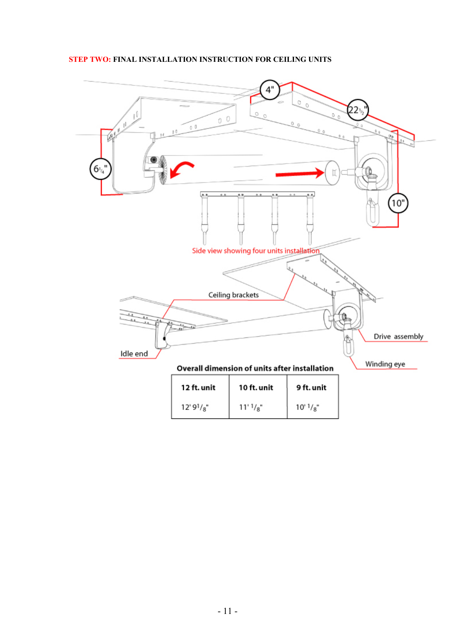# **STEP TWO: FINAL INSTALLATION INSTRUCTION FOR CEILING UNITS**

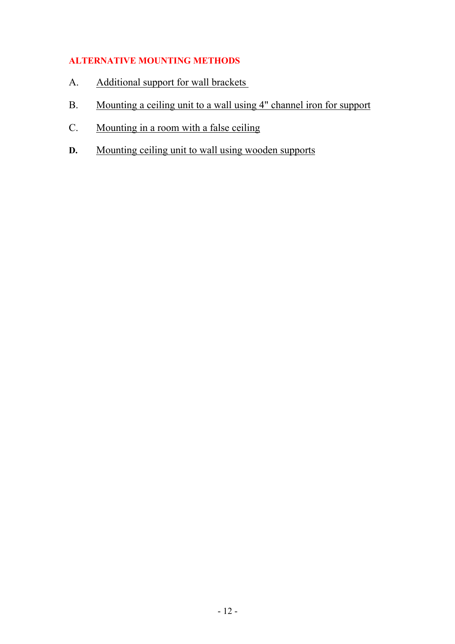# **ALTERNATIVE MOUNTING METHODS**

- A. Additional support for wall brackets
- B. Mounting a ceiling unit to a wall using 4" channel iron for support
- C. Mounting in a room with a false ceiling
- **D.** Mounting ceiling unit to wall using wooden supports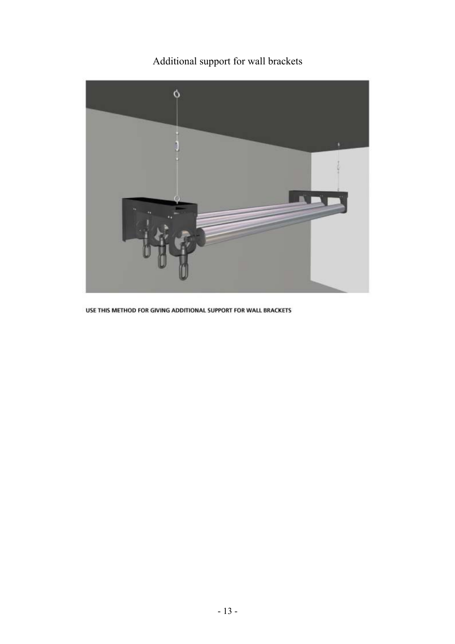# Additional support for wall brackets



USE THIS METHOD FOR GIVING ADDITIONAL SUPPORT FOR WALL BRACKETS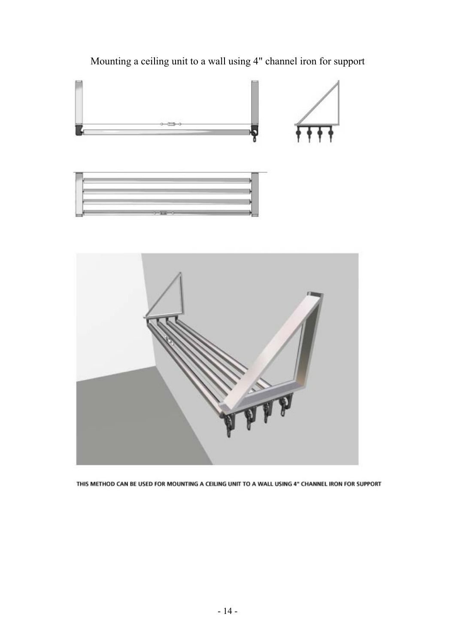

Mounting a ceiling unit to a wall using 4" channel iron for support

THIS METHOD CAN BE USED FOR MOUNTING A CEILING UNIT TO A WALL USING 4" CHANNEL IRON FOR SUPPORT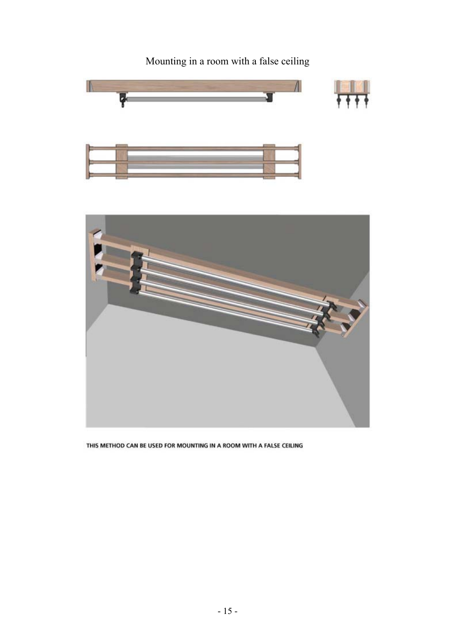

Mounting in a room with a false ceiling

THIS METHOD CAN BE USED FOR MOUNTING IN A ROOM WITH A FALSE CEILING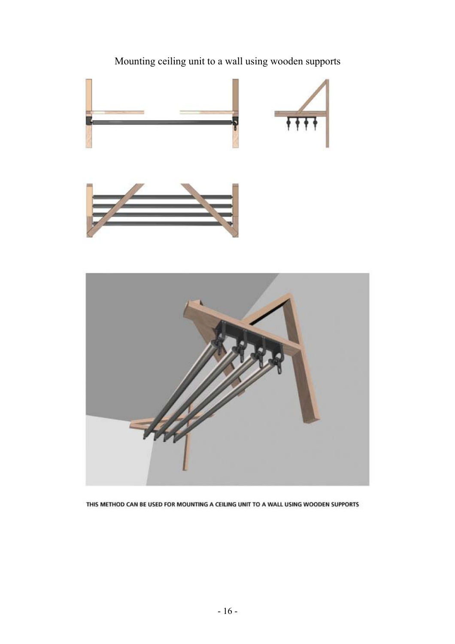

Mounting ceiling unit to a wall using wooden supports

THIS METHOD CAN BE USED FOR MOUNTING A CEILING UNIT TO A WALL USING WOODEN SUPPORTS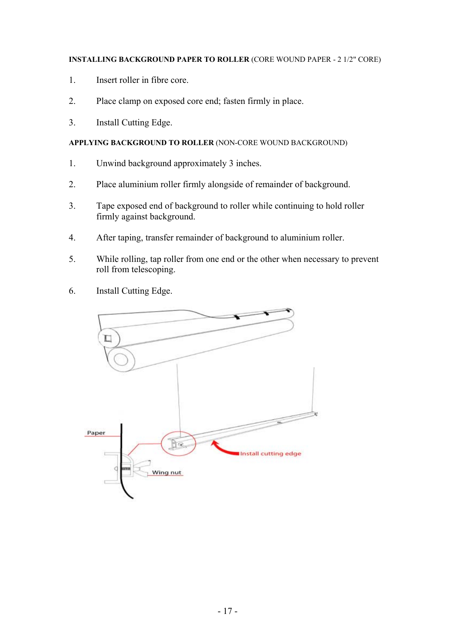# **INSTALLING BACKGROUND PAPER TO ROLLER** (CORE WOUND PAPER - 2 1/2" CORE)

- 1. Insert roller in fibre core.
- 2. Place clamp on exposed core end; fasten firmly in place.
- 3. Install Cutting Edge.

# **APPLYING BACKGROUND TO ROLLER** (NON-CORE WOUND BACKGROUND)

- 1. Unwind background approximately 3 inches.
- 2. Place aluminium roller firmly alongside of remainder of background.
- 3. Tape exposed end of background to roller while continuing to hold roller firmly against background.
- 4. After taping, transfer remainder of background to aluminium roller.
- 5. While rolling, tap roller from one end or the other when necessary to prevent roll from telescoping.
- 6. Install Cutting Edge.